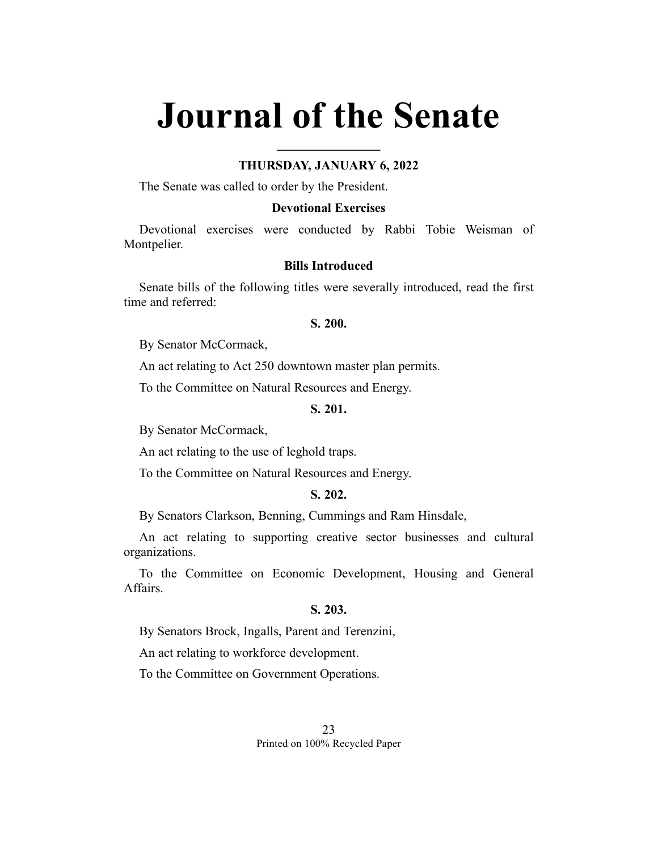# **Journal of the Senate**

### **THURSDAY, JANUARY 6, 2022**

**\_\_\_\_\_\_\_\_\_\_\_\_\_\_\_\_**

The Senate was called to order by the President.

#### **Devotional Exercises**

Devotional exercises were conducted by Rabbi Tobie Weisman of Montpelier.

#### **Bills Introduced**

Senate bills of the following titles were severally introduced, read the first time and referred:

### **S. 200.**

By Senator McCormack,

An act relating to Act 250 downtown master plan permits.

To the Committee on Natural Resources and Energy.

# **S. 201.**

By Senator McCormack,

An act relating to the use of leghold traps.

To the Committee on Natural Resources and Energy.

# **S. 202.**

By Senators Clarkson, Benning, Cummings and Ram Hinsdale,

An act relating to supporting creative sector businesses and cultural organizations.

To the Committee on Economic Development, Housing and General Affairs.

# **S. 203.**

By Senators Brock, Ingalls, Parent and Terenzini,

An act relating to workforce development.

To the Committee on Government Operations.